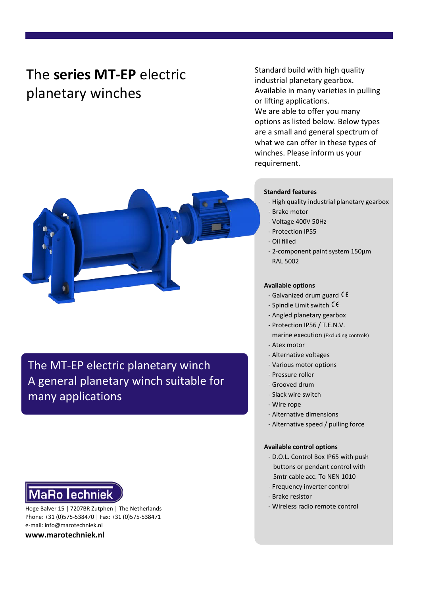# The **series MT-EP** electric planetary winches

Standard build with high quality industrial planetary gearbox. Available in many varieties in pulling or lifting applications. We are able to offer you many options as listed below. Below types are a small and general spectrum of what we can offer in these types of winches. Please inform us your requirement.



The MT-EP electric planetary winch A general planetary winch suitable for many applications

# **MaRo lechniek**

Hoge Balver 15 | 7207BR Zutphen | The Netherlands Phone: +31 (0)575-538470 | Fax: +31 (0)575-538471 e-mail: info@marotechniek.nl

**www.marotechniek.nl**

### **Standard features**

- High quality industrial planetary gearbox
- Brake motor
- Voltage 400V 50Hz
- Protection IP55
- Oil filled
- 2-component paint system 150μm RAL 5002

### **Available options**

- Galvanized drum guard
- Spindle Limit switch  $\zeta \in$
- Angled planetary gearbox
- Protection IP56 / T.E.N.V.
- marine execution (Excluding controls)
- Atex motor
- Alternative voltages
- Various motor options
- Pressure roller
- Grooved drum
- Slack wire switch
- Wire rope
- Alternative dimensions
- Alternative speed / pulling force

#### **Available control options**

- D.O.L. Control Box IP65 with push buttons or pendant control with 5mtr cable acc. To NEN 1010
- Frequency inverter control
- Brake resistor
- Wireless radio remote control